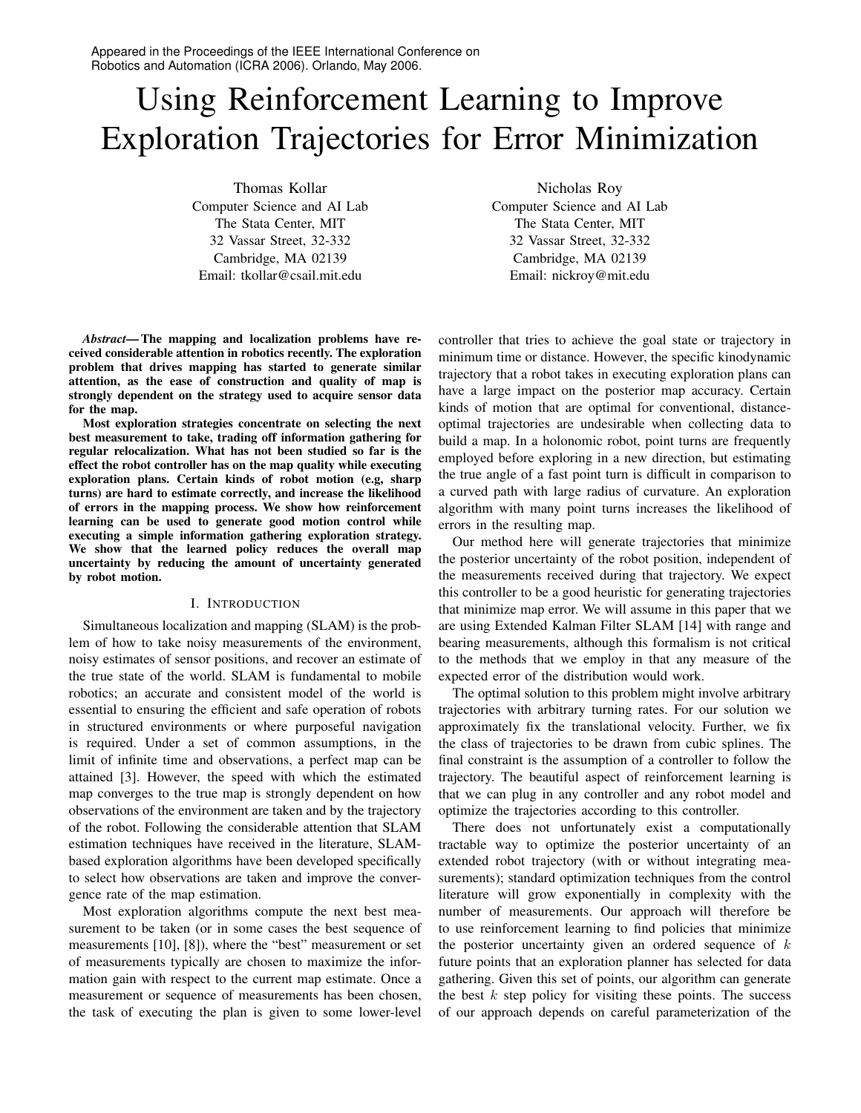# Using Reinforcement Learning to Improve Exploration Trajectories for Error Minimization

Thomas Kollar Computer Science and AI Lab The Stata Center, MIT 32 Vassar Street, 32-332 Cambridge, MA 02139 Email: tkollar@csail.mit.edu

Nicholas Roy Computer Science and AI Lab The Stata Center, MIT 32 Vassar Street, 32-332 Cambridge, MA 02139 Email: nickroy@mit.edu

*Abstract***—The mapping and localization problems have received considerable attention in robotics recently. The exploration problem that drives mapping has started to generate similar attention, as the ease of construction and quality of map is strongly dependent on the strategy used to acquire sensor data for the map.**

**Most exploration strategies concentrate on selecting the next best measurement to take, trading off information gathering for regular relocalization. What has not been studied so far is the effect the robot controller has on the map quality while executing exploration plans. Certain kinds of robot motion (e.g, sharp turns) are hard to estimate correctly, and increase the likelihood of errors in the mapping process. We show how reinforcement learning can be used to generate good motion control while executing a simple information gathering exploration strategy. We show that the learned policy reduces the overall map uncertainty by reducing the amount of uncertainty generated by robot motion.**

## I. INTRODUCTION

Simultaneous localization and mapping (SLAM) is the problem of how to take noisy measurements of the environment, noisy estimates of sensor positions, and recover an estimate of the true state of the world. SLAM is fundamental to mobile robotics; an accurate and consistent model of the world is essential to ensuring the efficient and safe operation of robots in structured environments or where purposeful navigation is required. Under a set of common assumptions, in the limit of infinite time and observations, a perfect map can be attained [3]. However, the speed with which the estimated map converges to the true map is strongly dependent on how observations of the environment are taken and by the trajectory of the robot. Following the considerable attention that SLAM estimation techniques have received in the literature, SLAMbased exploration algorithms have been developed specifically to select how observations are taken and improve the convergence rate of the map estimation.

Most exploration algorithms compute the next best measurement to be taken (or in some cases the best sequence of measurements [10], [8]), where the "best" measurement or set of measurements typically are chosen to maximize the information gain with respect to the current map estimate. Once a measurement or sequence of measurements has been chosen, the task of executing the plan is given to some lower-level

controller that tries to achieve the goal state or trajectory in minimum time or distance. However, the specific kinodynamic trajectory that a robot takes in executing exploration plans can have a large impact on the posterior map accuracy. Certain kinds of motion that are optimal for conventional, distanceoptimal trajectories are undesirable when collecting data to build a map. In a holonomic robot, point turns are frequently employed before exploring in a new direction, but estimating the true angle of a fast point turn is difficult in comparison to a curved path with large radius of curvature. An exploration algorithm with many point turns increases the likelihood of errors in the resulting map.

Our method here will generate trajectories that minimize the posterior uncertainty of the robot position, independent of the measurements received during that trajectory. We expect this controller to be a good heuristic for generating trajectories that minimize map error. We will assume in this paper that we are using Extended Kalman Filter SLAM [14] with range and bearing measurements, although this formalism is not critical to the methods that we employ in that any measure of the expected error of the distribution would work.

The optimal solution to this problem might involve arbitrary trajectories with arbitrary turning rates. For our solution we approximately fix the translational velocity. Further, we fix the class of trajectories to be drawn from cubic splines. The final constraint is the assumption of a controller to follow the trajectory. The beautiful aspect of reinforcement learning is that we can plug in any controller and any robot model and optimize the trajectories according to this controller.

There does not unfortunately exist a computationally tractable way to optimize the posterior uncertainty of an extended robot trajectory (with or without integrating measurements); standard optimization techniques from the control literature will grow exponentially in complexity with the number of measurements. Our approach will therefore be to use reinforcement learning to find policies that minimize the posterior uncertainty given an ordered sequence of  $k$ future points that an exploration planner has selected for data gathering. Given this set of points, our algorithm can generate the best  $k$  step policy for visiting these points. The success of our approach depends on careful parameterization of the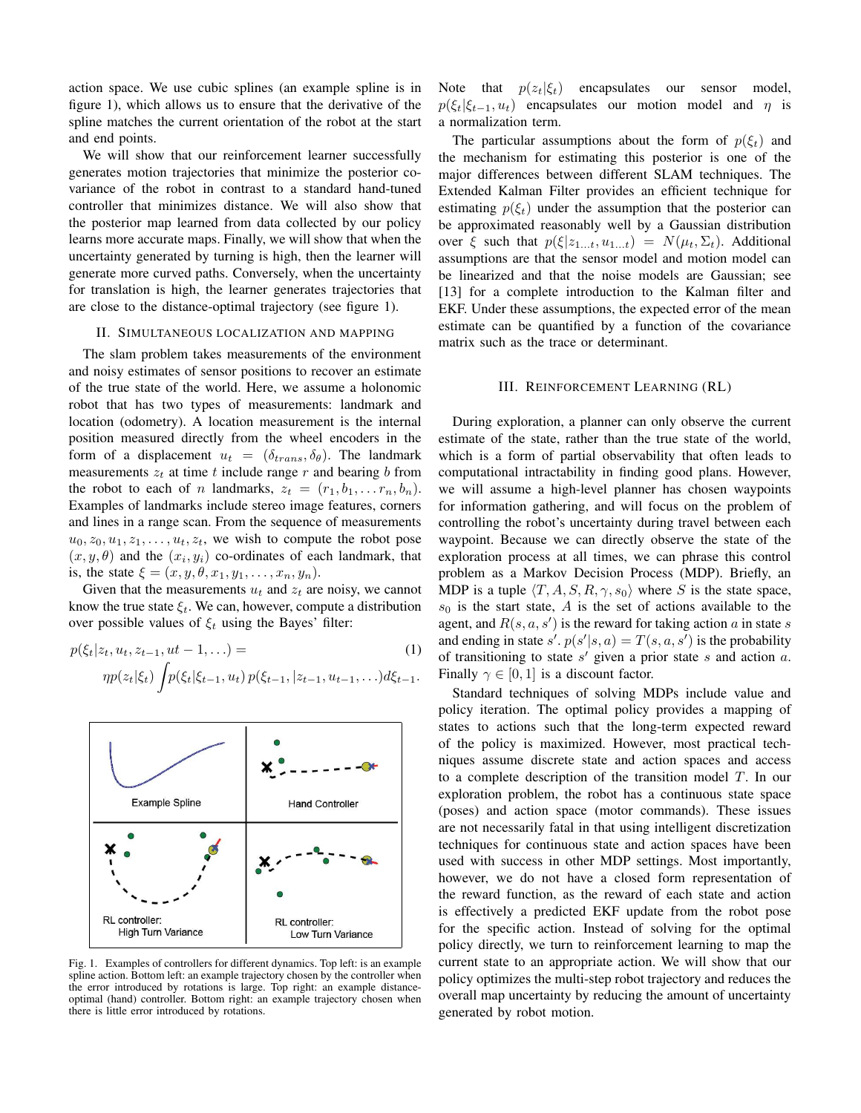action space. We use cubic splines (an example spline is in figure 1), which allows us to ensure that the derivative of the spline matches the current orientation of the robot at the start and end points.

We will show that our reinforcement learner successfully generates motion trajectories that minimize the posterior covariance of the robot in contrast to a standard hand-tuned controller that minimizes distance. We will also show that the posterior map learned from data collected by our policy learns more accurate maps. Finally, we will show that when the uncertainty generated by turning is high, then the learner will generate more curved paths. Conversely, when the uncertainty for translation is high, the learner generates trajectories that are close to the distance-optimal trajectory (see figure 1).

#### II. SIMULTANEOUS LOCALIZATION AND MAPPING

The slam problem takes measurements of the environment and noisy estimates of sensor positions to recover an estimate of the true state of the world. Here, we assume a holonomic robot that has two types of measurements: landmark and location (odometry). A location measurement is the internal position measured directly from the wheel encoders in the form of a displacement  $u_t = (\delta_{trans}, \delta_{\theta})$ . The landmark measurements  $z_t$  at time t include range r and bearing b from the robot to each of n landmarks,  $z_t = (r_1, b_1, \ldots r_n, b_n)$ . Examples of landmarks include stereo image features, corners and lines in a range scan. From the sequence of measurements  $u_0, z_0, u_1, z_1, \ldots, u_t, z_t$ , we wish to compute the robot pose  $(x, y, \theta)$  and the  $(x_i, y_i)$  co-ordinates of each landmark, that is, the state  $\xi = (x, y, \theta, x_1, y_1, \dots, x_n, y_n)$ .

Given that the measurements  $u_t$  and  $z_t$  are noisy, we cannot know the true state  $\xi_t$ . We can, however, compute a distribution over possible values of  $\xi_t$  using the Bayes' filter:

$$
p(\xi_t|z_t, u_t, z_{t-1}, ut-1,...) = (1)
$$
  
\n
$$
\eta p(z_t|\xi_t) \int p(\xi_t|\xi_{t-1}, u_t) p(\xi_{t-1}, |z_{t-1}, u_{t-1}, ...) d\xi_{t-1}.
$$



Fig. 1. Examples of controllers for different dynamics. Top left: is an example spline action. Bottom left: an example trajectory chosen by the controller when the error introduced by rotations is large. Top right: an example distanceoptimal (hand) controller. Bottom right: an example trajectory chosen when there is little error introduced by rotations.

Note that  $p(z_t|\xi_t)$  encapsulates our sensor model,  $p(\xi_t|\xi_{t-1}, u_t)$  encapsulates our motion model and  $\eta$  is a normalization term.

The particular assumptions about the form of  $p(\xi_t)$  and the mechanism for estimating this posterior is one of the major differences between different SLAM techniques. The Extended Kalman Filter provides an efficient technique for estimating  $p(\xi_t)$  under the assumption that the posterior can be approximated reasonably well by a Gaussian distribution over  $\xi$  such that  $p(\xi|z_{1...t}, u_{1...t}) = N(\mu_t, \Sigma_t)$ . Additional assumptions are that the sensor model and motion model can be linearized and that the noise models are Gaussian; see [13] for a complete introduction to the Kalman filter and EKF. Under these assumptions, the expected error of the mean estimate can be quantified by a function of the covariance matrix such as the trace or determinant.

## III. REINFORCEMENT LEARNING (RL)

During exploration, a planner can only observe the current estimate of the state, rather than the true state of the world, which is a form of partial observability that often leads to computational intractability in finding good plans. However, we will assume a high-level planner has chosen waypoints for information gathering, and will focus on the problem of controlling the robot's uncertainty during travel between each waypoint. Because we can directly observe the state of the exploration process at all times, we can phrase this control problem as a Markov Decision Process (MDP). Briefly, an MDP is a tuple  $\langle T, A, S, R, \gamma, s_0 \rangle$  where S is the state space,  $s_0$  is the start state, A is the set of actions available to the agent, and  $R(s, a, s')$  is the reward for taking action a in state s and ending in state  $s'$ .  $p(s'|s, a) = T(s, a, s')$  is the probability of transitioning to state  $s'$  given a prior state s and action a. Finally  $\gamma \in [0, 1]$  is a discount factor.

Standard techniques of solving MDPs include value and policy iteration. The optimal policy provides a mapping of states to actions such that the long-term expected reward of the policy is maximized. However, most practical techniques assume discrete state and action spaces and access to a complete description of the transition model T. In our exploration problem, the robot has a continuous state space (poses) and action space (motor commands). These issues are not necessarily fatal in that using intelligent discretization techniques for continuous state and action spaces have been used with success in other MDP settings. Most importantly, however, we do not have a closed form representation of the reward function, as the reward of each state and action is effectively a predicted EKF update from the robot pose for the specific action. Instead of solving for the optimal policy directly, we turn to reinforcement learning to map the current state to an appropriate action. We will show that our policy optimizes the multi-step robot trajectory and reduces the overall map uncertainty by reducing the amount of uncertainty generated by robot motion.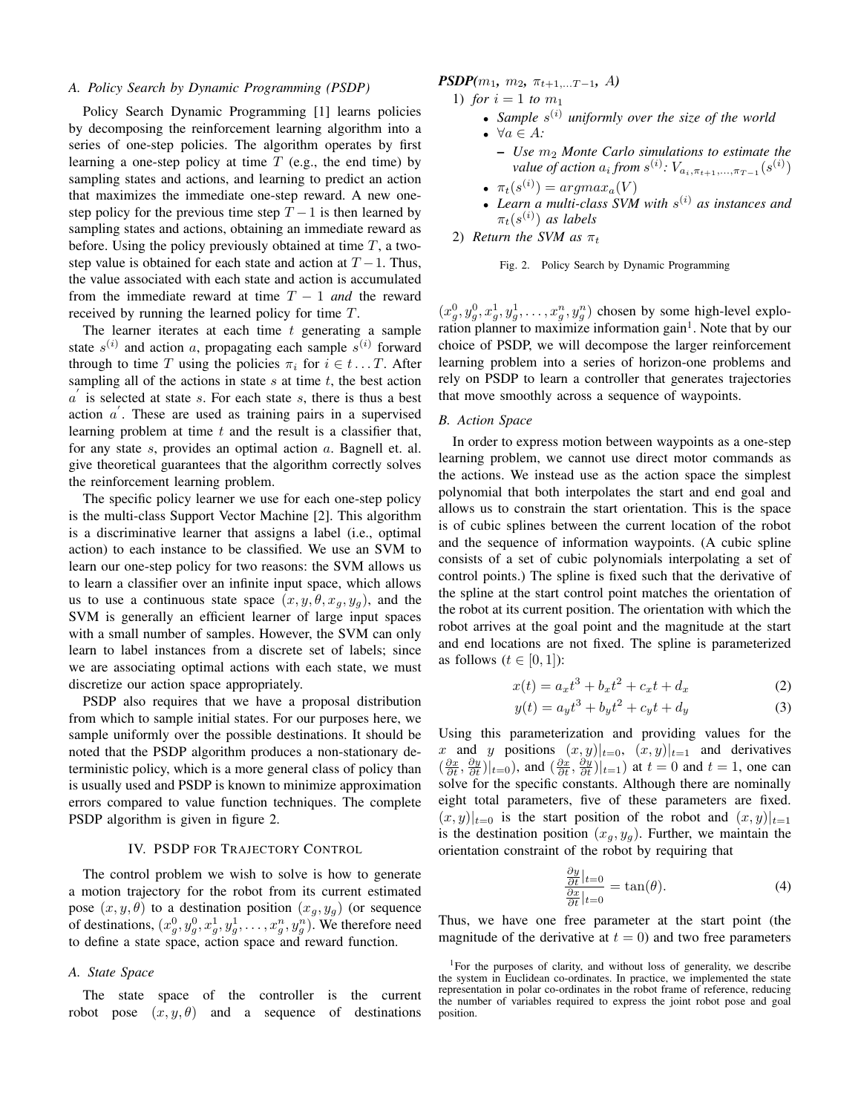#### *A. Policy Search by Dynamic Programming (PSDP)*

Policy Search Dynamic Programming [1] learns policies by decomposing the reinforcement learning algorithm into a series of one-step policies. The algorithm operates by first learning a one-step policy at time  $T$  (e.g., the end time) by sampling states and actions, and learning to predict an action that maximizes the immediate one-step reward. A new onestep policy for the previous time step  $T-1$  is then learned by sampling states and actions, obtaining an immediate reward as before. Using the policy previously obtained at time  $T$ , a twostep value is obtained for each state and action at  $T - 1$ . Thus, the value associated with each state and action is accumulated from the immediate reward at time  $T - 1$  *and* the reward received by running the learned policy for time T.

The learner iterates at each time  $t$  generating a sample state  $s^{(i)}$  and action a, propagating each sample  $s^{(i)}$  forward through to time T using the policies  $\pi_i$  for  $i \in t \dots T$ . After sampling all of the actions in state s at time  $t$ , the best action  $a'$  is selected at state s. For each state s, there is thus a best action  $a'$ . These are used as training pairs in a supervised learning problem at time  $t$  and the result is a classifier that, for any state s, provides an optimal action a. Bagnell et. al. give theoretical guarantees that the algorithm correctly solves the reinforcement learning problem.

The specific policy learner we use for each one-step policy is the multi-class Support Vector Machine [2]. This algorithm is a discriminative learner that assigns a label (i.e., optimal action) to each instance to be classified. We use an SVM to learn our one-step policy for two reasons: the SVM allows us to learn a classifier over an infinite input space, which allows us to use a continuous state space  $(x, y, \theta, x_g, y_g)$ , and the SVM is generally an efficient learner of large input spaces with a small number of samples. However, the SVM can only learn to label instances from a discrete set of labels; since we are associating optimal actions with each state, we must discretize our action space appropriately.

PSDP also requires that we have a proposal distribution from which to sample initial states. For our purposes here, we sample uniformly over the possible destinations. It should be noted that the PSDP algorithm produces a non-stationary deterministic policy, which is a more general class of policy than is usually used and PSDP is known to minimize approximation errors compared to value function techniques. The complete PSDP algorithm is given in figure 2.

#### IV. PSDP FOR TRAJECTORY CONTROL

The control problem we wish to solve is how to generate a motion trajectory for the robot from its current estimated pose  $(x, y, \theta)$  to a destination position  $(x_g, y_g)$  (or sequence of destinations,  $(x_g^0, y_g^0, x_g^1, y_g^1, \ldots, x_g^n, y_g^n)$ . We therefore need to define a state space, action space and reward function.

# *A. State Space*

The state space of the controller is the current robot pose  $(x, y, \theta)$  and a sequence of destinations

## *PSDP*( $m_1$ *,*  $m_2$ *,*  $\pi_{t+1,...T-1}$ *, A*)

- 1) *for*  $i = 1$  *to*  $m_1$ 
	- *Sample* s (i) *uniformly over the size of the world* • ∀a ∈ A*:*
		- **–** *Use* m<sup>2</sup> *Monte Carlo simulations to estimate the value of action*  $a_i$  *from*  $s^{(i)}$ :  $V_{a_i, \pi_{t+1}, \dots, \pi_{T-1}}(s^{(i)})$
	- $\pi_t(s^{(i)}) = argmax_a(V)$
	- *Learn a multi-class SVM with* s (i) *as instances and*  $\pi_t(s^{(i)})$  as *labels*
- 2) *Return the SVM as*  $\pi_t$



 $(x_g^0, y_g^0, x_g^1, y_g^1, \ldots, x_g^n, y_g^n)$  chosen by some high-level exploration planner to maximize information gain<sup>1</sup>. Note that by our choice of PSDP, we will decompose the larger reinforcement learning problem into a series of horizon-one problems and rely on PSDP to learn a controller that generates trajectories that move smoothly across a sequence of waypoints.

#### *B. Action Space*

In order to express motion between waypoints as a one-step learning problem, we cannot use direct motor commands as the actions. We instead use as the action space the simplest polynomial that both interpolates the start and end goal and allows us to constrain the start orientation. This is the space is of cubic splines between the current location of the robot and the sequence of information waypoints. (A cubic spline consists of a set of cubic polynomials interpolating a set of control points.) The spline is fixed such that the derivative of the spline at the start control point matches the orientation of the robot at its current position. The orientation with which the robot arrives at the goal point and the magnitude at the start and end locations are not fixed. The spline is parameterized as follows ( $t \in [0,1]$ ):

$$
x(t) = a_x t^3 + b_x t^2 + c_x t + d_x \tag{2}
$$

$$
y(t) = a_y t^3 + b_y t^2 + c_y t + d_y
$$
 (3)

Using this parameterization and providing values for the x and y positions  $(x, y)|_{t=0}$ ,  $(x, y)|_{t=1}$  and derivatives  $(\frac{\partial x}{\partial t}, \frac{\partial y}{\partial t})|_{t=0})$ , and  $(\frac{\partial x}{\partial t}, \frac{\partial y}{\partial t})|_{t=1}$  at  $t=0$  and  $t=1$ , one can solve for the specific constants. Although there are nominally eight total parameters, five of these parameters are fixed.  $(x, y)|_{t=0}$  is the start position of the robot and  $(x, y)|_{t=1}$ is the destination position  $(x_g, y_g)$ . Further, we maintain the orientation constraint of the robot by requiring that

$$
\frac{\frac{\partial y}{\partial t}|_{t=0}}{\frac{\partial x}{\partial t}|_{t=0}} = \tan(\theta). \tag{4}
$$

Thus, we have one free parameter at the start point (the magnitude of the derivative at  $t = 0$ ) and two free parameters

<sup>&</sup>lt;sup>1</sup>For the purposes of clarity, and without loss of generality, we describe the system in Euclidean co-ordinates. In practice, we implemented the state representation in polar co-ordinates in the robot frame of reference, reducing the number of variables required to express the joint robot pose and goal position.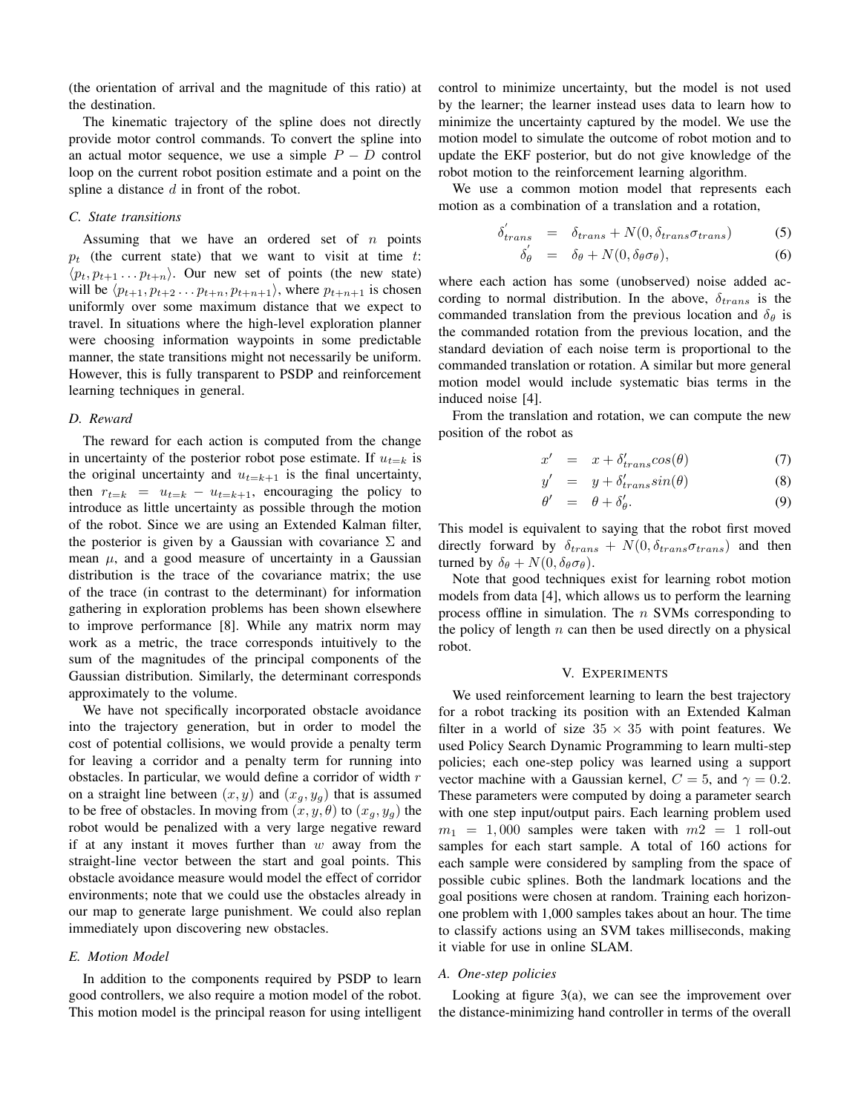(the orientation of arrival and the magnitude of this ratio) at the destination.

The kinematic trajectory of the spline does not directly provide motor control commands. To convert the spline into an actual motor sequence, we use a simple  $P - D$  control loop on the current robot position estimate and a point on the spline a distance d in front of the robot.

## *C. State transitions*

Assuming that we have an ordered set of  $n$  points  $p_t$  (the current state) that we want to visit at time t:  $\langle p_t, p_{t+1} \dots p_{t+n} \rangle$ . Our new set of points (the new state) will be  $\langle p_{t+1}, p_{t+2} \dots p_{t+n}, p_{t+n+1} \rangle$ , where  $p_{t+n+1}$  is chosen uniformly over some maximum distance that we expect to travel. In situations where the high-level exploration planner were choosing information waypoints in some predictable manner, the state transitions might not necessarily be uniform. However, this is fully transparent to PSDP and reinforcement learning techniques in general.

#### *D. Reward*

The reward for each action is computed from the change in uncertainty of the posterior robot pose estimate. If  $u_{t=k}$  is the original uncertainty and  $u_{t=k+1}$  is the final uncertainty, then  $r_{t=k} = u_{t=k} - u_{t=k+1}$ , encouraging the policy to introduce as little uncertainty as possible through the motion of the robot. Since we are using an Extended Kalman filter, the posterior is given by a Gaussian with covariance  $\Sigma$  and mean  $\mu$ , and a good measure of uncertainty in a Gaussian distribution is the trace of the covariance matrix; the use of the trace (in contrast to the determinant) for information gathering in exploration problems has been shown elsewhere to improve performance [8]. While any matrix norm may work as a metric, the trace corresponds intuitively to the sum of the magnitudes of the principal components of the Gaussian distribution. Similarly, the determinant corresponds approximately to the volume.

We have not specifically incorporated obstacle avoidance into the trajectory generation, but in order to model the cost of potential collisions, we would provide a penalty term for leaving a corridor and a penalty term for running into obstacles. In particular, we would define a corridor of width r on a straight line between  $(x, y)$  and  $(x_g, y_g)$  that is assumed to be free of obstacles. In moving from  $(x, y, \theta)$  to  $(x_g, y_g)$  the robot would be penalized with a very large negative reward if at any instant it moves further than  $w$  away from the straight-line vector between the start and goal points. This obstacle avoidance measure would model the effect of corridor environments; note that we could use the obstacles already in our map to generate large punishment. We could also replan immediately upon discovering new obstacles.

#### *E. Motion Model*

In addition to the components required by PSDP to learn good controllers, we also require a motion model of the robot. This motion model is the principal reason for using intelligent control to minimize uncertainty, but the model is not used by the learner; the learner instead uses data to learn how to minimize the uncertainty captured by the model. We use the motion model to simulate the outcome of robot motion and to update the EKF posterior, but do not give knowledge of the robot motion to the reinforcement learning algorithm.

We use a common motion model that represents each motion as a combination of a translation and a rotation,

$$
\delta_{trans}' = \delta_{trans} + N(0, \delta_{trans} \sigma_{trans}) \tag{5}
$$

$$
\delta_{\theta} = \delta_{\theta} + N(0, \delta_{\theta} \sigma_{\theta}), \tag{6}
$$

where each action has some (unobserved) noise added according to normal distribution. In the above,  $\delta_{trans}$  is the commanded translation from the previous location and  $\delta_{\theta}$  is the commanded rotation from the previous location, and the standard deviation of each noise term is proportional to the commanded translation or rotation. A similar but more general motion model would include systematic bias terms in the induced noise [4].

From the translation and rotation, we can compute the new position of the robot as

$$
x' = x + \delta_{trans}^{\prime} \cos(\theta) \tag{7}
$$

$$
y' = y + \delta'_{trans} sin(\theta)
$$
 (8)

$$
\theta' = \theta + \delta'_{\theta}.
$$
\n(9)

This model is equivalent to saying that the robot first moved directly forward by  $\delta_{trans} + N(0, \delta_{trans} \sigma_{trans})$  and then turned by  $\delta_{\theta} + N(0, \delta_{\theta} \sigma_{\theta}).$ 

Note that good techniques exist for learning robot motion models from data [4], which allows us to perform the learning process offline in simulation. The n SVMs corresponding to the policy of length  $n$  can then be used directly on a physical robot.

## V. EXPERIMENTS

We used reinforcement learning to learn the best trajectory for a robot tracking its position with an Extended Kalman filter in a world of size  $35 \times 35$  with point features. We used Policy Search Dynamic Programming to learn multi-step policies; each one-step policy was learned using a support vector machine with a Gaussian kernel,  $C = 5$ , and  $\gamma = 0.2$ . These parameters were computed by doing a parameter search with one step input/output pairs. Each learning problem used  $m_1 = 1,000$  samples were taken with  $m_1 = 1$  roll-out samples for each start sample. A total of 160 actions for each sample were considered by sampling from the space of possible cubic splines. Both the landmark locations and the goal positions were chosen at random. Training each horizonone problem with 1,000 samples takes about an hour. The time to classify actions using an SVM takes milliseconds, making it viable for use in online SLAM.

# *A. One-step policies*

Looking at figure 3(a), we can see the improvement over the distance-minimizing hand controller in terms of the overall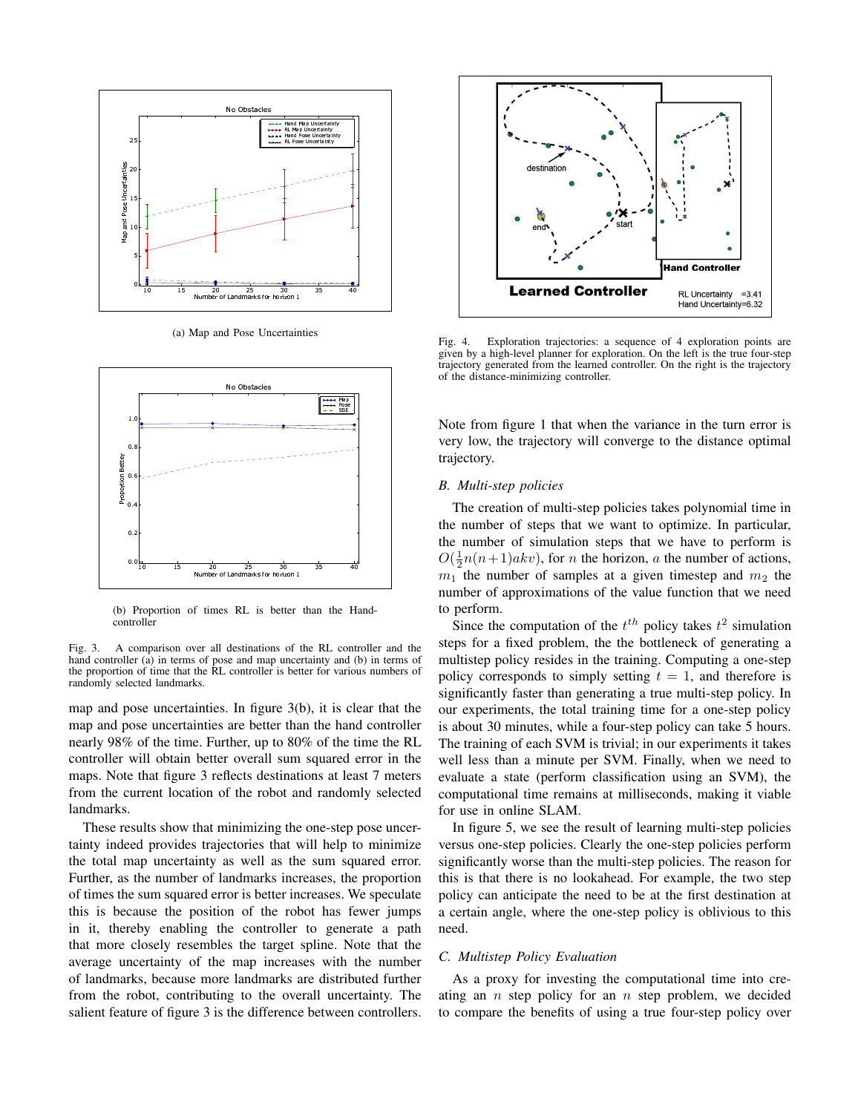

(a) Map and Pose Uncertainties



(b) Proportion of times RL is better than the Handcontroller

Fig. 3. A comparison over all destinations of the RL controller and the hand controller  $(a)$  in terms of pose and map uncertainty and  $(b)$  in terms of the proportion of time that the RL controller is better for various numbers of randomly selected landmarks.

map and pose uncertainties. In figure 3(b), it is clear that the map and pose uncertainties are better than the hand controller nearly 98% of the time. Further, up to 80% of the time the RL controller will obtain better overall sum squared error in the maps. Note that figure 3 reflects destinations at least 7 meters from the current location of the robot and randomly selected landmarks.

These results show that minimizing the one-step pose uncertainty indeed provides trajectories that will help to minimize the total map uncertainty as well as the sum squared error. Further, as the number of landmarks increases, the proportion of times the sum squared error is better increases. We speculate this is because the position of the robot has fewer jumps in it, thereby enabling the controller to generate a path that more closely resembles the target spline. Note that the average uncertainty of the map increases with the number of landmarks, because more landmarks are distributed further from the robot, contributing to the overall uncertainty. The salient feature of figure 3 is the difference between controllers.



Fig. 4. Exploration trajectories: a sequence of 4 exploration points are given by a high-level planner for exploration. On the left is the true four-step trajectory generated from the learned controller. On the right is the trajectory of the distance-minimizing controller.

Note from figure 1 that when the variance in the turn error is very low, the trajectory will converge to the distance optimal trajectory.

## *B. Multi-step policies*

The creation of multi-step policies takes polynomial time in the number of steps that we want to optimize. In particular, the number of simulation steps that we have to perform is  $O(\frac{1}{2}n(n+1)akv)$ , for *n* the horizon, *a* the number of actions,  $m_1$  the number of samples at a given timestep and  $m_2$  the number of approximations of the value function that we need to perform.

Since the computation of the  $t^{th}$  policy takes  $t^2$  simulation steps for a fixed problem, the the bottleneck of generating a multistep policy resides in the training. Computing a one-step policy corresponds to simply setting  $t = 1$ , and therefore is significantly faster than generating a true multi-step policy. In our experiments, the total training time for a one-step policy is about 30 minutes, while a four-step policy can take 5 hours. The training of each SVM is trivial; in our experiments it takes well less than a minute per SVM. Finally, when we need to evaluate a state (perform classification using an SVM), the computational time remains at milliseconds, making it viable for use in online SLAM.

In figure 5, we see the result of learning multi-step policies versus one-step policies. Clearly the one-step policies perform significantly worse than the multi-step policies. The reason for this is that there is no lookahead. For example, the two step policy can anticipate the need to be at the first destination at a certain angle, where the one-step policy is oblivious to this need.

## *C. Multistep Policy Evaluation*

As a proxy for investing the computational time into creating an  $n$  step policy for an  $n$  step problem, we decided to compare the benefits of using a true four-step policy over